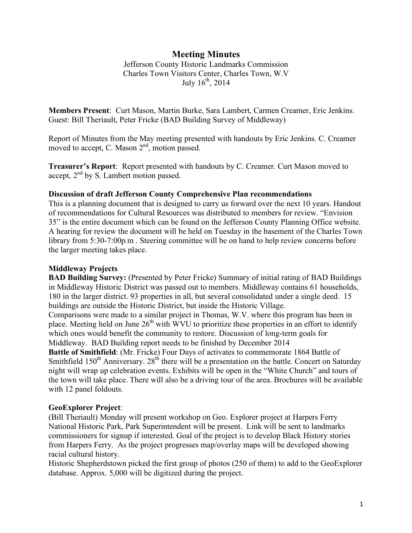# **Meeting Minutes**

Jefferson County Historic Landmarks Commission Charles Town Visitors Center, Charles Town, W.V July  $16^{th}$ ,  $2014$ 

**Members Present**: Curt Mason, Martin Burke, Sara Lambert, Carmen Creamer, Eric Jenkins. Guest: Bill Theriault, Peter Fricke (BAD Building Survey of Middleway)

Report of Minutes from the May meeting presented with handouts by Eric Jenkins. C. Creamer moved to accept, C. Mason 2<sup>nd</sup>, motion passed.

**Treasurer's Report**: Report presented with handouts by C. Creamer. Curt Mason moved to accept, 2nd by S. Lambert motion passed.

### **Discussion of draft Jefferson County Comprehensive Plan recommendations**

This is a planning document that is designed to carry us forward over the next 10 years. Handout of recommendations for Cultural Resources was distributed to members for review. "Envision 35" is the entire document which can be found on the Jefferson County Planning Office website. A hearing for review the document will be held on Tuesday in the basement of the Charles Town library from 5:30-7:00p.m. Steering committee will be on hand to help review concerns before the larger meeting takes place.

### **Middleway Projects**

**BAD Building Survey:** (Presented by Peter Fricke) Summary of initial rating of BAD Buildings in Middleway Historic District was passed out to members. Middleway contains 61 households, 180 in the larger district. 93 properties in all, but several consolidated under a single deed. 15 buildings are outside the Historic District, but inside the Historic Village.

Comparisons were made to a similar project in Thomas, W.V. where this program has been in place. Meeting held on June  $26<sup>th</sup>$  with WVU to prioritize these properties in an effort to identify which ones would benefit the community to restore. Discussion of long-term goals for Middleway. BAD Building report needs to be finished by December 2014

**Battle of Smithfield**: (Mr. Fricke) Four Days of activates to commemorate 1864 Battle of Smithfield  $150<sup>th</sup>$  Anniversary.  $28<sup>th</sup>$  there will be a presentation on the battle. Concert on Saturday night will wrap up celebration events. Exhibits will be open in the "White Church" and tours of the town will take place. There will also be a driving tour of the area. Brochures will be available with 12 panel foldouts.

#### **GeoExplorer Project**:

(Bill Theriault) Monday will present workshop on Geo. Explorer project at Harpers Ferry National Historic Park, Park Superintendent will be present. Link will be sent to landmarks commissioners for signup if interested. Goal of the project is to develop Black History stories from Harpers Ferry. As the project progresses map/overlay maps will be developed showing racial cultural history.

Historic Shepherdstown picked the first group of photos (250 of them) to add to the GeoExplorer database. Approx. 5,000 will be digitized during the project.